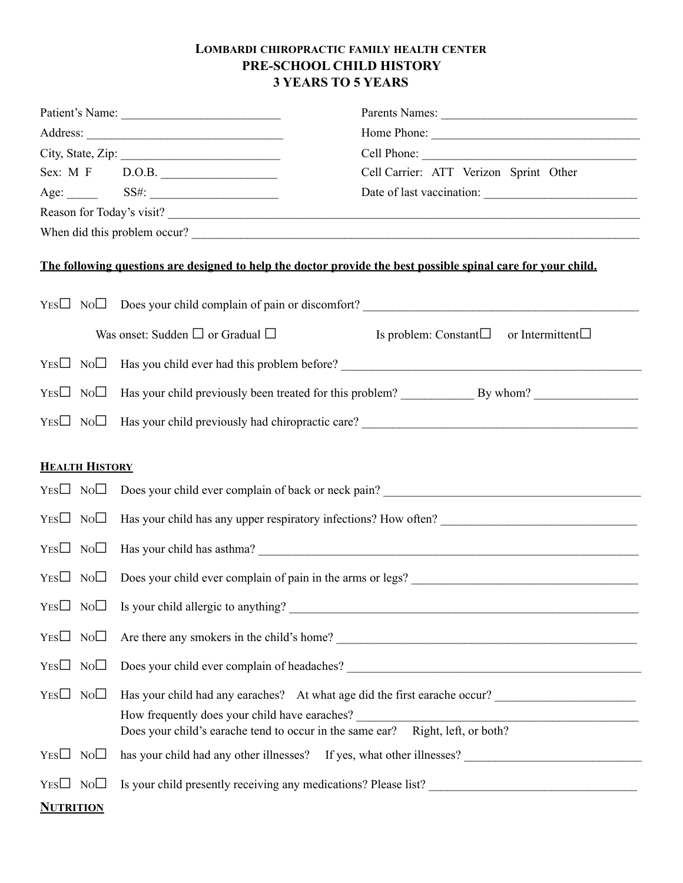## **LOMBARDI CHIROPRACTIC FAMILY HEALTH CENTER PRE-SCHOOL CHILD HISTORY 3 YEARS TO 5 YEARS**

|                       | Patient's Name:                                                                                                                 | Parents Names:                                                                                                |
|-----------------------|---------------------------------------------------------------------------------------------------------------------------------|---------------------------------------------------------------------------------------------------------------|
|                       |                                                                                                                                 |                                                                                                               |
|                       |                                                                                                                                 |                                                                                                               |
|                       | Sex: M F D.O.B.                                                                                                                 | Cell Carrier: ATT Verizon Sprint Other                                                                        |
|                       |                                                                                                                                 |                                                                                                               |
|                       |                                                                                                                                 | Reason for Today's visit?                                                                                     |
|                       |                                                                                                                                 | When did this problem occur?                                                                                  |
|                       |                                                                                                                                 | The following questions are designed to help the doctor provide the best possible spinal care for your child. |
|                       |                                                                                                                                 | $YES \Box \ No \Box \ Does your child complain of pain or discount?$                                          |
|                       | Was onset: Sudden $\Box$ or Gradual $\Box$                                                                                      | Is problem: Constant $\square$<br>or Intermittent $\square$                                                   |
|                       |                                                                                                                                 |                                                                                                               |
|                       |                                                                                                                                 |                                                                                                               |
|                       |                                                                                                                                 | $YES \Box \ No \Box$ Has your child previously had chiropractic care?                                         |
| <b>HEALTH HISTORY</b> |                                                                                                                                 |                                                                                                               |
|                       |                                                                                                                                 |                                                                                                               |
|                       |                                                                                                                                 |                                                                                                               |
|                       |                                                                                                                                 |                                                                                                               |
|                       |                                                                                                                                 | $YES \Box \ No \Box$ Has your child has asthma?                                                               |
|                       |                                                                                                                                 | $YES \Box \ No \Box \ Does your child ever complain of pain in the arms or legs?$                             |
|                       |                                                                                                                                 |                                                                                                               |
| $Yes \Box No \Box$    |                                                                                                                                 | Are there any smokers in the child's home?<br><u> </u>                                                        |
| $YES \Box NO \Box$    |                                                                                                                                 |                                                                                                               |
| $YES \Box NO \Box$    |                                                                                                                                 | Has your child had any earaches? At what age did the first earache occur?                                     |
|                       | How frequently does your child have earaches?<br>Does your child's earache tend to occur in the same ear? Right, left, or both? | <u> 1986 - Johann Stein, Amerikaansk politiker (</u>                                                          |
| $YES \Box NO \Box$    |                                                                                                                                 | has your child had any other illnesses? If yes, what other illnesses? ______________________________          |
| $Yes \Box No \Box$    |                                                                                                                                 | Is your child presently receiving any medications? Please list?                                               |
| <b>NUTRITION</b>      |                                                                                                                                 |                                                                                                               |